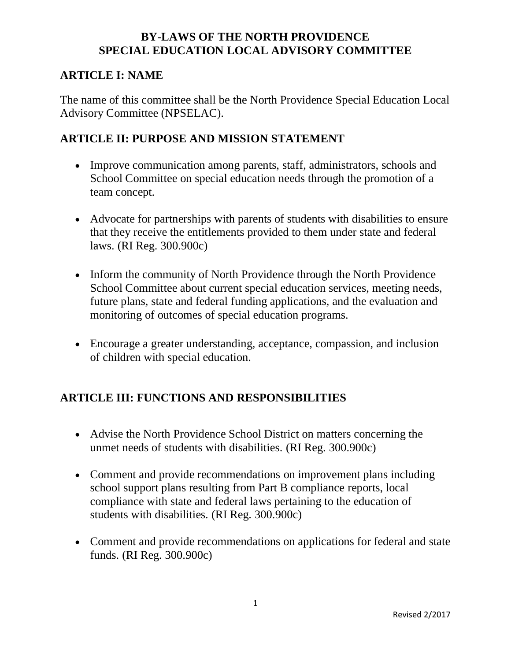#### **ARTICLE I: NAME**

The name of this committee shall be the North Providence Special Education Local Advisory Committee (NPSELAC).

# **ARTICLE II: PURPOSE AND MISSION STATEMENT**

- Improve communication among parents, staff, administrators, schools and School Committee on special education needs through the promotion of a team concept.
- Advocate for partnerships with parents of students with disabilities to ensure that they receive the entitlements provided to them under state and federal laws. (RI Reg. 300.900c)
- Inform the community of North Providence through the North Providence School Committee about current special education services, meeting needs, future plans, state and federal funding applications, and the evaluation and monitoring of outcomes of special education programs.
- Encourage a greater understanding, acceptance, compassion, and inclusion of children with special education.

# **ARTICLE III: FUNCTIONS AND RESPONSIBILITIES**

- Advise the North Providence School District on matters concerning the unmet needs of students with disabilities. (RI Reg. 300.900c)
- Comment and provide recommendations on improvement plans including school support plans resulting from Part B compliance reports, local compliance with state and federal laws pertaining to the education of students with disabilities. (RI Reg. 300.900c)
- Comment and provide recommendations on applications for federal and state funds. (RI Reg. 300.900c)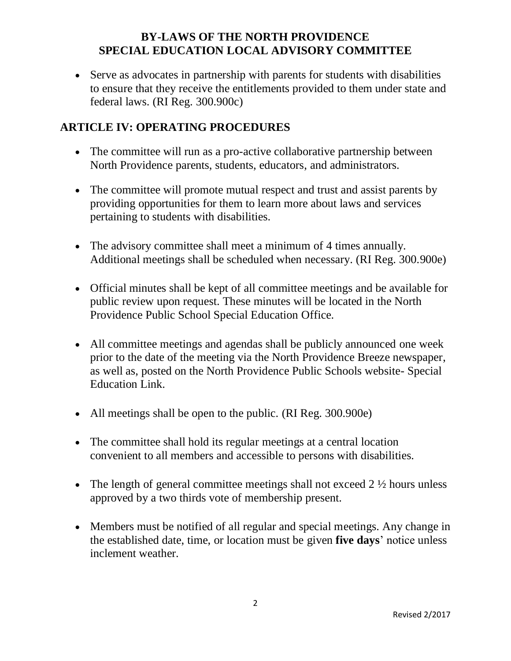Serve as advocates in partnership with parents for students with disabilities to ensure that they receive the entitlements provided to them under state and federal laws. (RI Reg. 300.900c)

## **ARTICLE IV: OPERATING PROCEDURES**

- The committee will run as a pro-active collaborative partnership between North Providence parents, students, educators, and administrators.
- The committee will promote mutual respect and trust and assist parents by providing opportunities for them to learn more about laws and services pertaining to students with disabilities.
- The advisory committee shall meet a minimum of 4 times annually. Additional meetings shall be scheduled when necessary. (RI Reg. 300.900e)
- Official minutes shall be kept of all committee meetings and be available for public review upon request. These minutes will be located in the North Providence Public School Special Education Office.
- All committee meetings and agendas shall be publicly announced one week prior to the date of the meeting via the North Providence Breeze newspaper, as well as, posted on the North Providence Public Schools website- Special Education Link.
- All meetings shall be open to the public. (RI Reg. 300.900e)
- The committee shall hold its regular meetings at a central location convenient to all members and accessible to persons with disabilities.
- The length of general committee meetings shall not exceed  $2\frac{1}{2}$  hours unless approved by a two thirds vote of membership present.
- Members must be notified of all regular and special meetings. Any change in the established date, time, or location must be given **five days**' notice unless inclement weather.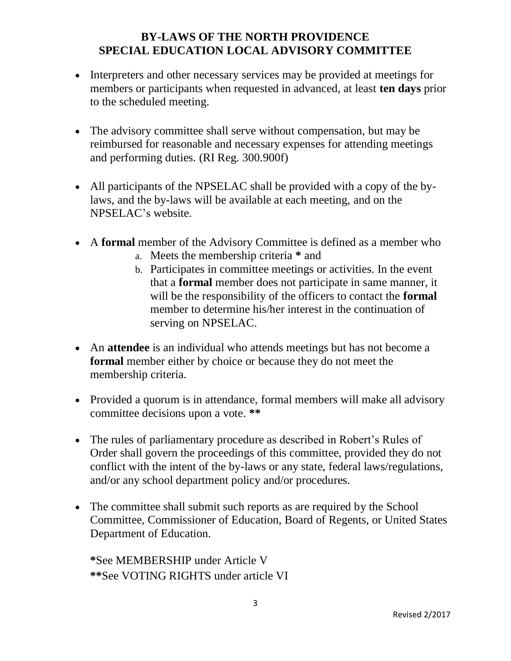- Interpreters and other necessary services may be provided at meetings for members or participants when requested in advanced, at least **ten days** prior to the scheduled meeting.
- The advisory committee shall serve without compensation, but may be reimbursed for reasonable and necessary expenses for attending meetings and performing duties. (RI Reg. 300.900f)
- All participants of the NPSELAC shall be provided with a copy of the bylaws, and the by-laws will be available at each meeting, and on the NPSELAC's website.
- A **formal** member of the Advisory Committee is defined as a member who
	- a. Meets the membership criteria **\*** and
	- b. Participates in committee meetings or activities. In the event that a **formal** member does not participate in same manner, it will be the responsibility of the officers to contact the **formal** member to determine his/her interest in the continuation of serving on NPSELAC.
- An **attendee** is an individual who attends meetings but has not become a **formal** member either by choice or because they do not meet the membership criteria.
- Provided a quorum is in attendance, formal members will make all advisory committee decisions upon a vote. **\*\***
- The rules of parliamentary procedure as described in Robert's Rules of Order shall govern the proceedings of this committee, provided they do not conflict with the intent of the by-laws or any state, federal laws/regulations, and/or any school department policy and/or procedures.
- The committee shall submit such reports as are required by the School Committee, Commissioner of Education, Board of Regents, or United States Department of Education.

**\***See MEMBERSHIP under Article V **\*\***See VOTING RIGHTS under article VI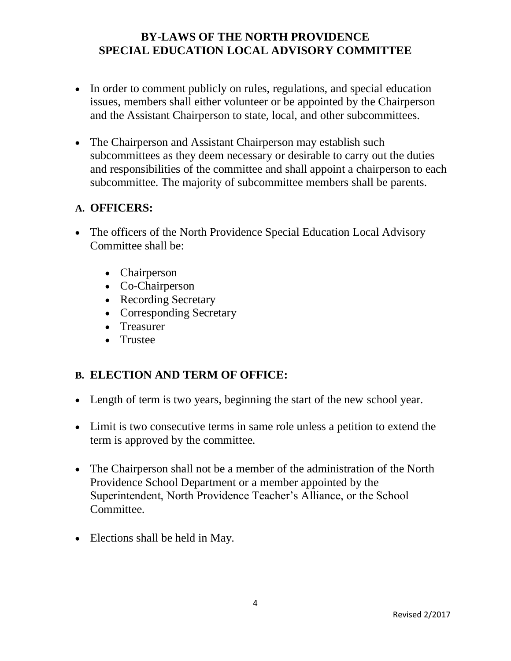- In order to comment publicly on rules, regulations, and special education issues, members shall either volunteer or be appointed by the Chairperson and the Assistant Chairperson to state, local, and other subcommittees.
- The Chairperson and Assistant Chairperson may establish such subcommittees as they deem necessary or desirable to carry out the duties and responsibilities of the committee and shall appoint a chairperson to each subcommittee. The majority of subcommittee members shall be parents.

#### **A. OFFICERS:**

- The officers of the North Providence Special Education Local Advisory Committee shall be:
	- Chairperson
	- Co-Chairperson
	- Recording Secretary
	- Corresponding Secretary
	- Treasurer
	- Trustee

## **B. ELECTION AND TERM OF OFFICE:**

- Length of term is two years, beginning the start of the new school year.
- Limit is two consecutive terms in same role unless a petition to extend the term is approved by the committee.
- The Chairperson shall not be a member of the administration of the North Providence School Department or a member appointed by the Superintendent, North Providence Teacher's Alliance, or the School Committee.
- Elections shall be held in May.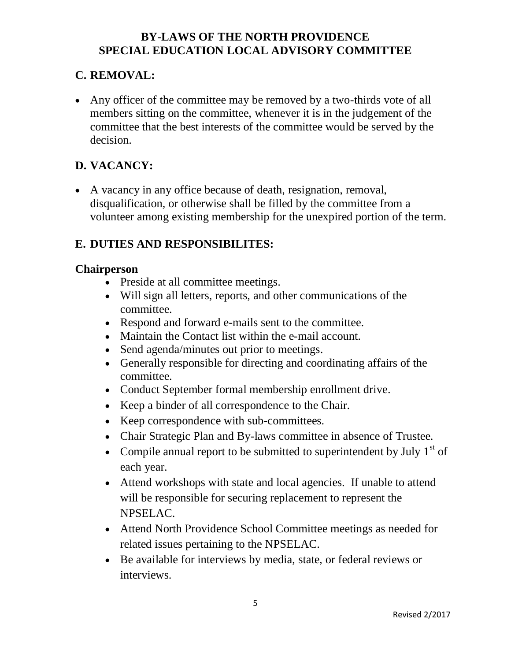## **C. REMOVAL:**

• Any officer of the committee may be removed by a two-thirds vote of all members sitting on the committee, whenever it is in the judgement of the committee that the best interests of the committee would be served by the decision.

# **D. VACANCY:**

 A vacancy in any office because of death, resignation, removal, disqualification, or otherwise shall be filled by the committee from a volunteer among existing membership for the unexpired portion of the term.

# **E. DUTIES AND RESPONSIBILITES:**

#### **Chairperson**

- Preside at all committee meetings.
- Will sign all letters, reports, and other communications of the committee.
- Respond and forward e-mails sent to the committee.
- Maintain the Contact list within the e-mail account.
- Send agenda/minutes out prior to meetings.
- Generally responsible for directing and coordinating affairs of the committee.
- Conduct September formal membership enrollment drive.
- Keep a binder of all correspondence to the Chair.
- Keep correspondence with sub-committees.
- Chair Strategic Plan and By-laws committee in absence of Trustee.
- Compile annual report to be submitted to superintendent by July  $1<sup>st</sup>$  of each year.
- Attend workshops with state and local agencies. If unable to attend will be responsible for securing replacement to represent the NPSELAC.
- Attend North Providence School Committee meetings as needed for related issues pertaining to the NPSELAC.
- Be available for interviews by media, state, or federal reviews or interviews.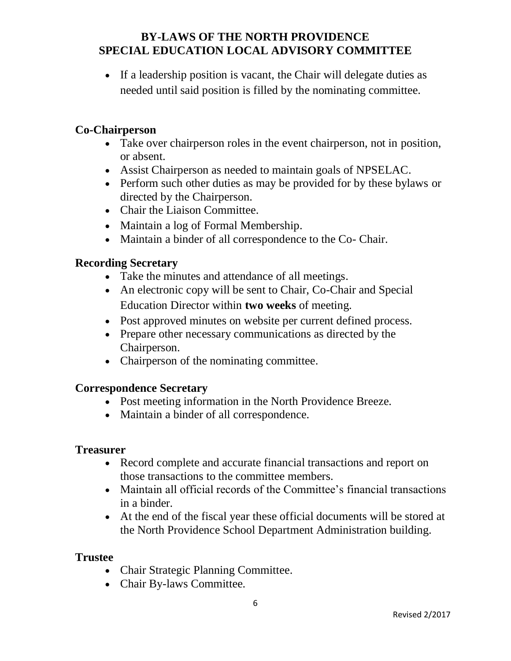• If a leadership position is vacant, the Chair will delegate duties as needed until said position is filled by the nominating committee.

#### **Co-Chairperson**

- Take over chairperson roles in the event chairperson, not in position, or absent.
- Assist Chairperson as needed to maintain goals of NPSELAC.
- Perform such other duties as may be provided for by these bylaws or directed by the Chairperson.
- Chair the Liaison Committee.
- Maintain a log of Formal Membership.
- Maintain a binder of all correspondence to the Co- Chair.

#### **Recording Secretary**

- Take the minutes and attendance of all meetings.
- An electronic copy will be sent to Chair, Co-Chair and Special Education Director within **two weeks** of meeting.
- Post approved minutes on website per current defined process.
- Prepare other necessary communications as directed by the Chairperson.
- Chairperson of the nominating committee.

#### **Correspondence Secretary**

- Post meeting information in the North Providence Breeze.
- Maintain a binder of all correspondence.

#### **Treasurer**

- Record complete and accurate financial transactions and report on those transactions to the committee members.
- Maintain all official records of the Committee's financial transactions in a binder.
- At the end of the fiscal year these official documents will be stored at the North Providence School Department Administration building.

#### **Trustee**

- Chair Strategic Planning Committee.
- Chair By-laws Committee.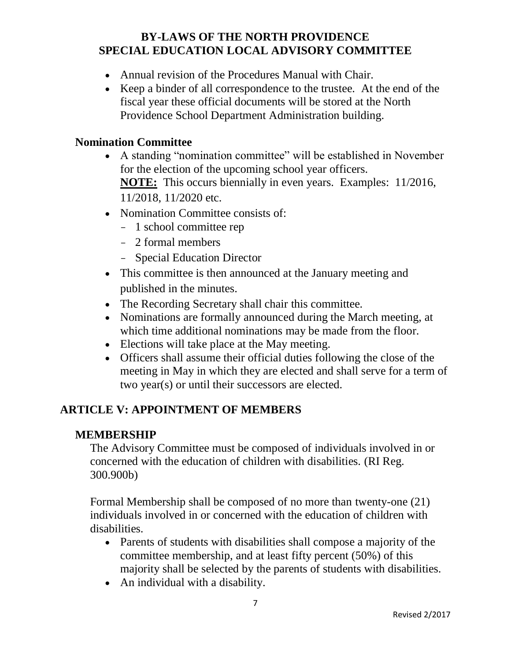- Annual revision of the Procedures Manual with Chair.
- Keep a binder of all correspondence to the trustee. At the end of the fiscal year these official documents will be stored at the North Providence School Department Administration building.

#### **Nomination Committee**

- A standing "nomination committee" will be established in November for the election of the upcoming school year officers. **NOTE:** This occurs biennially in even years. Examples: 11/2016, 11/2018, 11/2020 etc.
- Nomination Committee consists of:
	- 1 school committee rep
	- 2 formal members
	- Special Education Director
- This committee is then announced at the January meeting and published in the minutes.
- The Recording Secretary shall chair this committee.
- Nominations are formally announced during the March meeting, at which time additional nominations may be made from the floor.
- Elections will take place at the May meeting.
- Officers shall assume their official duties following the close of the meeting in May in which they are elected and shall serve for a term of two year(s) or until their successors are elected.

# **ARTICLE V: APPOINTMENT OF MEMBERS**

#### **MEMBERSHIP**

The Advisory Committee must be composed of individuals involved in or concerned with the education of children with disabilities. (RI Reg. 300.900b)

Formal Membership shall be composed of no more than twenty-one (21) individuals involved in or concerned with the education of children with disabilities.

- Parents of students with disabilities shall compose a majority of the committee membership, and at least fifty percent (50%) of this majority shall be selected by the parents of students with disabilities.
- An individual with a disability.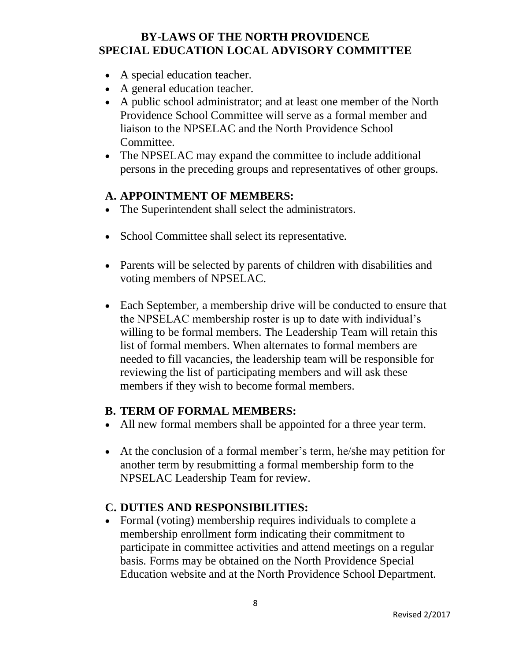- A special education teacher.
- A general education teacher.
- A public school administrator; and at least one member of the North Providence School Committee will serve as a formal member and liaison to the NPSELAC and the North Providence School Committee.
- The NPSELAC may expand the committee to include additional persons in the preceding groups and representatives of other groups.

#### **A. APPOINTMENT OF MEMBERS:**

- The Superintendent shall select the administrators.
- School Committee shall select its representative.
- Parents will be selected by parents of children with disabilities and voting members of NPSELAC.
- Each September, a membership drive will be conducted to ensure that the NPSELAC membership roster is up to date with individual's willing to be formal members. The Leadership Team will retain this list of formal members. When alternates to formal members are needed to fill vacancies, the leadership team will be responsible for reviewing the list of participating members and will ask these members if they wish to become formal members.

#### **B. TERM OF FORMAL MEMBERS:**

- All new formal members shall be appointed for a three year term.
- At the conclusion of a formal member's term, he/she may petition for another term by resubmitting a formal membership form to the NPSELAC Leadership Team for review.

## **C. DUTIES AND RESPONSIBILITIES:**

• Formal (voting) membership requires individuals to complete a membership enrollment form indicating their commitment to participate in committee activities and attend meetings on a regular basis. Forms may be obtained on the North Providence Special Education website and at the North Providence School Department.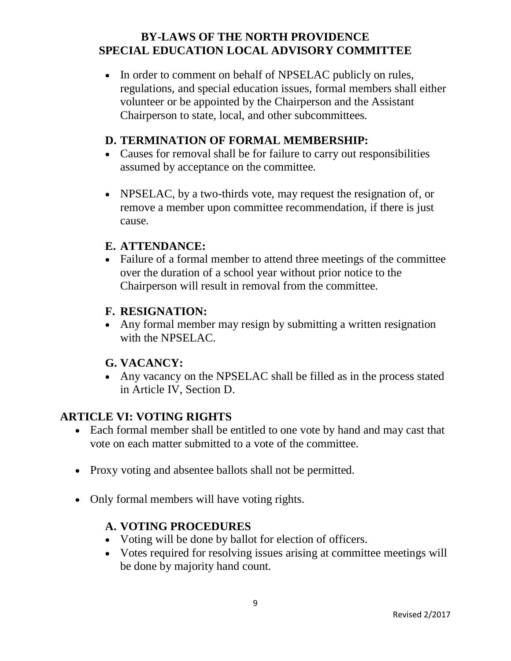• In order to comment on behalf of NPSELAC publicly on rules, regulations, and special education issues, formal members shall either volunteer or be appointed by the Chairperson and the Assistant Chairperson to state, local, and other subcommittees.

#### **D. TERMINATION OF FORMAL MEMBERSHIP:**

- Causes for removal shall be for failure to carry out responsibilities assumed by acceptance on the committee.
- NPSELAC, by a two-thirds vote, may request the resignation of, or remove a member upon committee recommendation, if there is just cause.

#### **E. ATTENDANCE:**

 Failure of a formal member to attend three meetings of the committee over the duration of a school year without prior notice to the Chairperson will result in removal from the committee.

## **F. RESIGNATION:**

 Any formal member may resign by submitting a written resignation with the NPSELAC.

#### **G. VACANCY:**

• Any vacancy on the NPSELAC shall be filled as in the process stated in Article IV, Section D.

# **ARTICLE VI: VOTING RIGHTS**

- Each formal member shall be entitled to one vote by hand and may cast that vote on each matter submitted to a vote of the committee.
- Proxy voting and absentee ballots shall not be permitted.
- Only formal members will have voting rights.

## **A. VOTING PROCEDURES**

- Voting will be done by ballot for election of officers.
- Votes required for resolving issues arising at committee meetings will be done by majority hand count.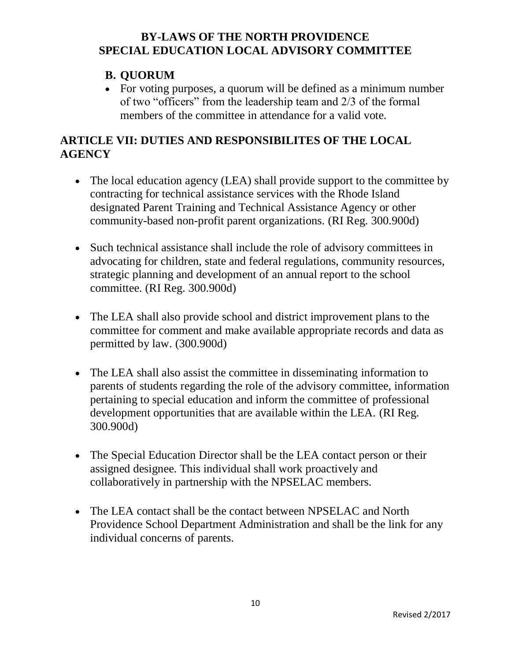### **B. QUORUM**

 For voting purposes, a quorum will be defined as a minimum number of two "officers" from the leadership team and 2/3 of the formal members of the committee in attendance for a valid vote.

## **ARTICLE VII: DUTIES AND RESPONSIBILITES OF THE LOCAL AGENCY**

- The local education agency (LEA) shall provide support to the committee by contracting for technical assistance services with the Rhode Island designated Parent Training and Technical Assistance Agency or other community-based non-profit parent organizations. (RI Reg. 300.900d)
- Such technical assistance shall include the role of advisory committees in advocating for children, state and federal regulations, community resources, strategic planning and development of an annual report to the school committee. (RI Reg. 300.900d)
- The LEA shall also provide school and district improvement plans to the committee for comment and make available appropriate records and data as permitted by law. (300.900d)
- The LEA shall also assist the committee in disseminating information to parents of students regarding the role of the advisory committee, information pertaining to special education and inform the committee of professional development opportunities that are available within the LEA. (RI Reg. 300.900d)
- The Special Education Director shall be the LEA contact person or their assigned designee. This individual shall work proactively and collaboratively in partnership with the NPSELAC members.
- The LEA contact shall be the contact between NPSELAC and North Providence School Department Administration and shall be the link for any individual concerns of parents.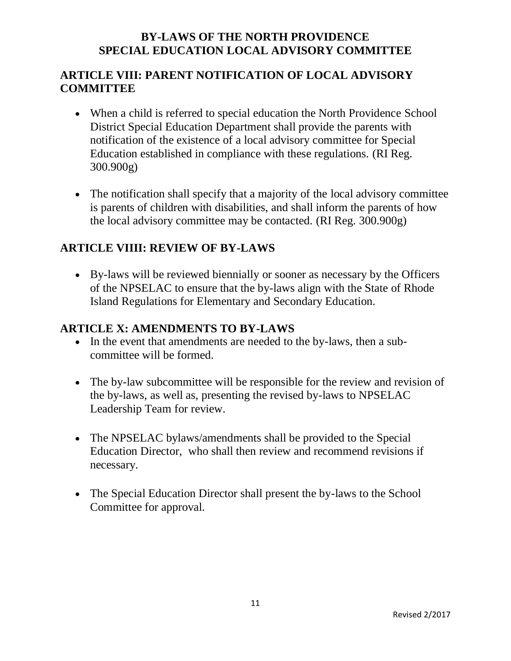## **ARTICLE VIII: PARENT NOTIFICATION OF LOCAL ADVISORY COMMITTEE**

- When a child is referred to special education the North Providence School District Special Education Department shall provide the parents with notification of the existence of a local advisory committee for Special Education established in compliance with these regulations. (RI Reg. 300.900g)
- The notification shall specify that a majority of the local advisory committee is parents of children with disabilities, and shall inform the parents of how the local advisory committee may be contacted. (RI Reg. 300.900g)

# **ARTICLE VIIII: REVIEW OF BY-LAWS**

 By-laws will be reviewed biennially or sooner as necessary by the Officers of the NPSELAC to ensure that the by-laws align with the State of Rhode Island Regulations for Elementary and Secondary Education.

### **ARTICLE X: AMENDMENTS TO BY-LAWS**

- In the event that amendments are needed to the by-laws, then a subcommittee will be formed.
- The by-law subcommittee will be responsible for the review and revision of the by-laws, as well as, presenting the revised by-laws to NPSELAC Leadership Team for review.
- The NPSELAC bylaws/amendments shall be provided to the Special Education Director, who shall then review and recommend revisions if necessary.
- The Special Education Director shall present the by-laws to the School Committee for approval.